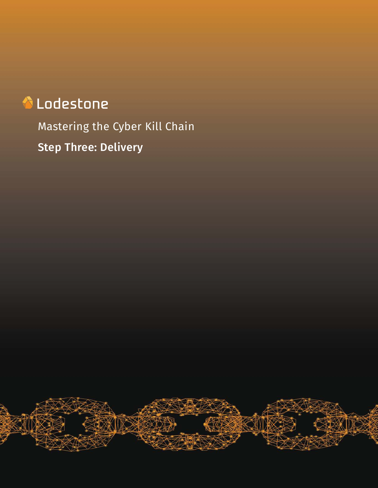# **A** Lodestone

Mastering the Cyber Kill Chain Step Three: Delivery

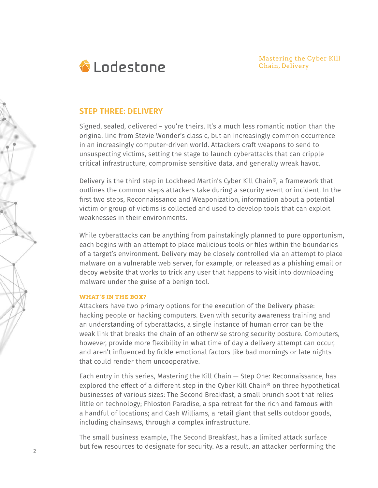Mastering the Cyber Kill Chain, Delivery



# **STEP THREE: DELIVERY**

Signed, sealed, delivered – you're theirs. It's a much less romantic notion than the original line from Stevie Wonder's classic, but an increasingly common occurrence in an increasingly computer-driven world. Attackers craft weapons to send to unsuspecting victims, setting the stage to launch cyberattacks that can cripple critical infrastructure, compromise sensitive data, and generally wreak havoc.

Delivery is the third step in Lockheed Martin's Cyber Kill Chain®, a framework that outlines the common steps attackers take during a security event or incident. In the first two steps, Reconnaissance and Weaponization, information about a potential victim or group of victims is collected and used to develop tools that can exploit weaknesses in their environments.

While cyberattacks can be anything from painstakingly planned to pure opportunism, each begins with an attempt to place malicious tools or files within the boundaries of a target's environment. Delivery may be closely controlled via an attempt to place malware on a vulnerable web server, for example, or released as a phishing email or decoy website that works to trick any user that happens to visit into downloading malware under the guise of a benign tool.

#### **WHAT'S IN THE BOX?**

Attackers have two primary options for the execution of the Delivery phase: hacking people or hacking computers. Even with security awareness training and an understanding of cyberattacks, a single instance of human error can be the weak link that breaks the chain of an otherwise strong security posture. Computers, however, provide more flexibility in what time of day a delivery attempt can occur, and aren't influenced by fickle emotional factors like bad mornings or late nights that could render them uncooperative.

Each entry in this series, Mastering the Kill Chain — Step One: Reconnaissance, has explored the effect of a different step in the Cyber Kill Chain® on three hypothetical businesses of various sizes: The Second Breakfast, a small brunch spot that relies little on technology; Fhloston Paradise, a spa retreat for the rich and famous with a handful of locations; and Cash Williams, a retail giant that sells outdoor goods, including chainsaws, through a complex infrastructure.

The small business example, The Second Breakfast, has a limited attack surface but few resources to designate for security. As a result, an attacker performing the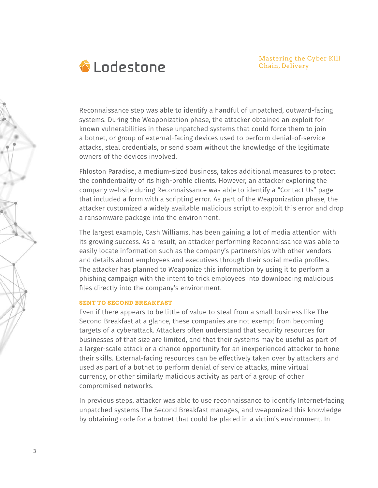

Reconnaissance step was able to identify a handful of unpatched, outward-facing systems. During the Weaponization phase, the attacker obtained an exploit for known vulnerabilities in these unpatched systems that could force them to join a botnet, or group of external-facing devices used to perform denial-of-service attacks, steal credentials, or send spam without the knowledge of the legitimate owners of the devices involved.

Fhloston Paradise, a medium-sized business, takes additional measures to protect the confidentiality of its high-profile clients. However, an attacker exploring the company website during Reconnaissance was able to identify a "Contact Us" page that included a form with a scripting error. As part of the Weaponization phase, the attacker customized a widely available malicious script to exploit this error and drop a ransomware package into the environment.

The largest example, Cash Williams, has been gaining a lot of media attention with its growing success. As a result, an attacker performing Reconnaissance was able to easily locate information such as the company's partnerships with other vendors and details about employees and executives through their social media profiles. The attacker has planned to Weaponize this information by using it to perform a phishing campaign with the intent to trick employees into downloading malicious files directly into the company's environment.

# **SENT TO SECOND BREAKFAST**

Even if there appears to be little of value to steal from a small business like The Second Breakfast at a glance, these companies are not exempt from becoming targets of a cyberattack. Attackers often understand that security resources for businesses of that size are limited, and that their systems may be useful as part of a larger-scale attack or a chance opportunity for an inexperienced attacker to hone their skills. External-facing resources can be effectively taken over by attackers and used as part of a botnet to perform denial of service attacks, mine virtual currency, or other similarly malicious activity as part of a group of other compromised networks.

In previous steps, attacker was able to use reconnaissance to identify Internet-facing unpatched systems The Second Breakfast manages, and weaponized this knowledge by obtaining code for a botnet that could be placed in a victim's environment. In

3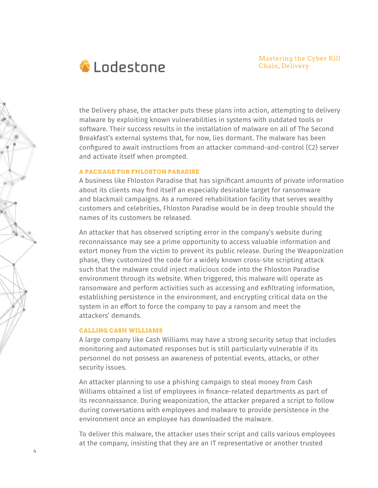

the Delivery phase, the attacker puts these plans into action, attempting to delivery malware by exploiting known vulnerabilities in systems with outdated tools or software. Their success results in the installation of malware on all of The Second Breakfast's external systems that, for now, lies dormant. The malware has been configured to await instructions from an attacker command-and-control (C2) server and activate itself when prompted.

### **A PACKAGE FOR FHLOSTON PARADISE**

A business like Fhloston Paradise that has significant amounts of private information about its clients may find itself an especially desirable target for ransomware and blackmail campaigns. As a rumored rehabilitation facility that serves wealthy customers and celebrities, Fhloston Paradise would be in deep trouble should the names of its customers be released.

An attacker that has observed scripting error in the company's website during reconnaissance may see a prime opportunity to access valuable information and extort money from the victim to prevent its public release. During the Weaponization phase, they customized the code for a widely known cross-site scripting attack such that the malware could inject malicious code into the Fhloston Paradise environment through its website. When triggered, this malware will operate as ransomware and perform activities such as accessing and exfiltrating information, establishing persistence in the environment, and encrypting critical data on the system in an effort to force the company to pay a ransom and meet the attackers' demands.

#### **CALLING CASH WILLIAMS**

A large company like Cash Williams may have a strong security setup that includes monitoring and automated responses but is still particularly vulnerable if its personnel do not possess an awareness of potential events, attacks, or other security issues.

An attacker planning to use a phishing campaign to steal money from Cash Williams obtained a list of employees in finance-related departments as part of its reconnaissance. During weaponization, the attacker prepared a script to follow during conversations with employees and malware to provide persistence in the environment once an employee has downloaded the malware.

To deliver this malware, the attacker uses their script and calls various employees at the company, insisting that they are an IT representative or another trusted

4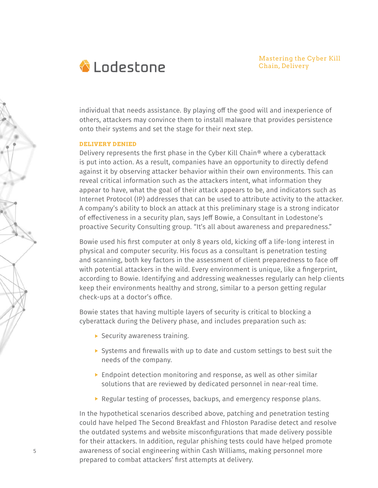

individual that needs assistance. By playing off the good will and inexperience of others, attackers may convince them to install malware that provides persistence onto their systems and set the stage for their next step.

## **DELIVERY DENIED**

Delivery represents the first phase in the Cyber Kill Chain® where a cyberattack is put into action. As a result, companies have an opportunity to directly defend against it by observing attacker behavior within their own environments. This can reveal critical information such as the attackers intent, what information they appear to have, what the goal of their attack appears to be, and indicators such as Internet Protocol (IP) addresses that can be used to attribute activity to the attacker. A company's ability to block an attack at this preliminary stage is a strong indicator of effectiveness in a security plan, says Jeff Bowie, a Consultant in Lodestone's proactive Security Consulting group. "It's all about awareness and preparedness."

Bowie used his first computer at only 8 years old, kicking off a life-long interest in physical and computer security. His focus as a consultant is penetration testing and scanning, both key factors in the assessment of client preparedness to face off with potential attackers in the wild. Every environment is unique, like a fingerprint, according to Bowie. Identifying and addressing weaknesses regularly can help clients keep their environments healthy and strong, similar to a person getting regular check-ups at a doctor's office.

Bowie states that having multiple layers of security is critical to blocking a cyberattack during the Delivery phase, and includes preparation such as:

- $\triangleright$  Security awareness training.
- $\triangleright$  Systems and firewalls with up to date and custom settings to best suit the needs of the company.
- $\triangleright$  Endpoint detection monitoring and response, as well as other similar solutions that are reviewed by dedicated personnel in near-real time.
- ▶ Regular testing of processes, backups, and emergency response plans.

In the hypothetical scenarios described above, patching and penetration testing could have helped The Second Breakfast and Fhloston Paradise detect and resolve the outdated systems and website misconfigurations that made delivery possible for their attackers. In addition, regular phishing tests could have helped promote awareness of social engineering within Cash Williams, making personnel more prepared to combat attackers' first attempts at delivery.